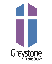# Greystone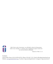

*With Christ as the Cornerstone, we will build a church of living stones, where every member is a minister and is equipped to express God's love by word and deed to all people.* 

 *Based on I Peter 2:5, 6* 

Connect:

Church Office Hours: 8:30-4:30 PM (M-Th) | Phone: (919) 847-1333 | Email: [office@greystonechurch.org](mailto:office@greystonechurch.org) Website: [www.greystonechurch.org](http://www.greystonechurch.org) | Facebook: @greystonebaptistchurch | Instagram: @greystonechurch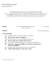# The Worship of God Sunday, January 30

*We ask that you please continue to wear a mask at all times while indoors, out of respect for the health and safety of all people joining us for worship. When congregational songs are sung in worship this morning, we invite you to listen prayerfully and participate in other safe ways if you feel so moved - feel free to stand, move, clap, drum on the pew in front of you, etc. Texts are provided for your personal reflection.* 

**Prelude** "O Love That Wilt Not Let Me Go" arr. John Purifoy Cynthia Griesedieck

**Welcome** Chrissy Tatum Williamson

# ☦ **Call to Worship**

One: We gather today to worship the One who created us,

## **All: the One who created our neighbors,**

One: the One whose love is more boundless than the sky,

# **All: the One whose grace is deeper than the ocean.**

One: Grant us the courage and humility to accept your liberating love,

 **All: grant us the courage and humility to accept that you freely offer it to all of our neighbors.** 

One: Help us always remember that we live in your great care,

**All: which extends through us to all creation. Amen**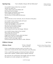Let us build a house where love can dwell and all can safely live, a place where saints and children tell how hearts learn to forgive. Built of hopes and dreams and visions, rock of faith and vault of grace; here the love of Christ shall end divisions:

Refrain:

all are welcome; all are welcome; all are welcome in this place.

Let us build a house where hands will reach beyond the wood and stone to heal and strengthen, serve and teach, and live the Word they've known. Here the outcast and the stranger bear the image of God's face; let us bring an end to fear and danger: (Refrain)

Let us build a house where all are named, their songs and visions heard and loved and treasured, taught and claimed as words within the Word. Built of tears and cries and laughter, prayers of faith and songs of grace; let this house proclaim from floor to rafter: (Refrain)

# **Children's Message and Schildren's Message and Schildren's Message and Schildren's April Alston**

**Offertory Hymn** "O For A World" Words by Miriam Therese Winter, GBC Virtual choir Music by Carl Gotthelf Gläser

O for a world where everyone respects each other's ways, where love is lived and all is done with justice and with praise.

O for a world where goods are shared and misery relieved, where truth is spoken, children spared, equality achieved.

We welcome one world family and struggle with each choice that opens us to unity and gives our vision voice.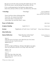The poor are rich; the weak are strong; the foolish ones are wise. Tell all who mourn: outcasts belong, who perishes will rise.

O for a world preparing for God's glorious reign of peace, where time and tears will be no more, and all but love will cease.

| † Doxology                                                                                                  | "Doxology"                                                                                                                        | OLD HUNDREDTH;                                         |
|-------------------------------------------------------------------------------------------------------------|-----------------------------------------------------------------------------------------------------------------------------------|--------------------------------------------------------|
|                                                                                                             |                                                                                                                                   | Words by Thomas Ken,<br>Music from the Genevan Psalter |
|                                                                                                             | Praise God from whom all blessings flow.                                                                                          |                                                        |
|                                                                                                             | Praise Him, all creatures here below.                                                                                             |                                                        |
| Praise Him above ye heavenly host.                                                                          |                                                                                                                                   |                                                        |
|                                                                                                             | Praise Father, Son and Holy Ghost. Amen.                                                                                          |                                                        |
| <b>Prayer of Dedication</b>                                                                                 |                                                                                                                                   | Julie Green                                            |
| <b>Scripture Reading</b>                                                                                    | Isaiah 16:1-5                                                                                                                     | Sylvia Cash                                            |
| <b>Sermon</b>                                                                                               | "Epiphanies of God's Love: God Cares"                                                                                             | Chrissy Tatum Williamson                               |
| <b>Silent Reflection</b>                                                                                    |                                                                                                                                   |                                                        |
| <b>Musical Reflection</b>                                                                                   | "Open the Eyes of My Heart"<br><b>GBC Virtual Choir</b>                                                                           | Words and Music by<br>Paul Baloche                     |
| Verse 1:<br>I want to see you; I want to see you;<br>(Repeat Verse 1)                                       | Open the eyes of my heart, Lord. Open the eyes of my heart;                                                                       |                                                        |
| Chorus:                                                                                                     | To see you high and lifted up, shining in the light of your glory.<br>Pour out your power and love as we sing "Holy, holy, holy." |                                                        |
| (Verse $1, 2x$ )<br>(Chorus, 2x)                                                                            |                                                                                                                                   |                                                        |
| Verse 2:<br>Holy, holy, holy. Holy, holy, holy.<br>Holy, holy, holy, I want to see you.<br>(Repeat Verse 2) |                                                                                                                                   |                                                        |
|                                                                                                             |                                                                                                                                   |                                                        |

☦ Please rise in body or spirit.